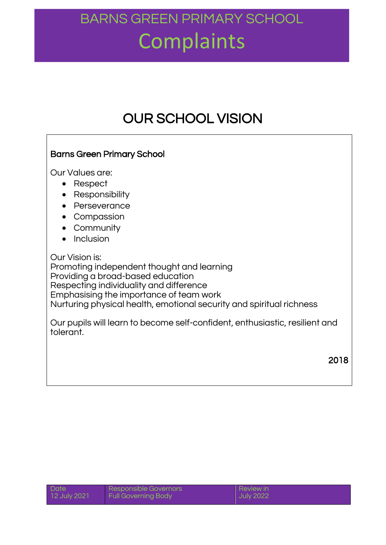### BARNS GREEN PRIMARY SCHOOL **Complaints**

### OUR SCHOOL VISION

#### Barns Green Primary School Our Values are: • Respect • Responsibility • Perseverance • Compassion Community • Inclusion Our Vision is: Promoting independent thought and learning Providing a broad-based education Respecting individuality and difference Emphasising the importance of team work Nurturing physical health, emotional security and spiritual richness Our pupils will learn to become self-confident, enthusiastic, resilient and tolerant. 2018

| Date         | Responsible Governors      | <b>Review in</b> |
|--------------|----------------------------|------------------|
| 12 July 2021 | <b>Full Governing Body</b> | <b>July 2022</b> |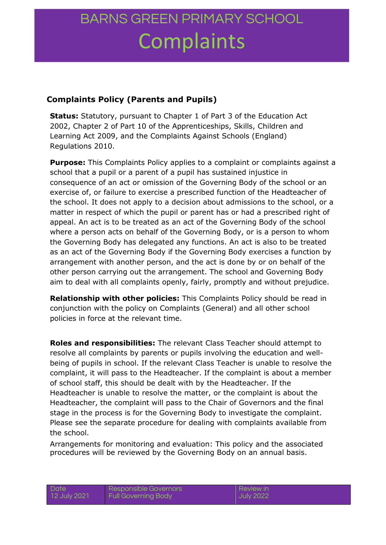## BARNS GREEN PRIMARY SCHOOL **Complaints**

#### **Complaints Policy (Parents and Pupils)**

**Status:** Statutory, pursuant to Chapter 1 of Part 3 of the Education Act 2002, Chapter 2 of Part 10 of the Apprenticeships, Skills, Children and Learning Act 2009, and the Complaints Against Schools (England) Regulations 2010.

**Purpose:** This Complaints Policy applies to a complaint or complaints against a school that a pupil or a parent of a pupil has sustained injustice in consequence of an act or omission of the Governing Body of the school or an exercise of, or failure to exercise a prescribed function of the Headteacher of the school. It does not apply to a decision about admissions to the school, or a matter in respect of which the pupil or parent has or had a prescribed right of appeal. An act is to be treated as an act of the Governing Body of the school where a person acts on behalf of the Governing Body, or is a person to whom the Governing Body has delegated any functions. An act is also to be treated as an act of the Governing Body if the Governing Body exercises a function by arrangement with another person, and the act is done by or on behalf of the other person carrying out the arrangement. The school and Governing Body aim to deal with all complaints openly, fairly, promptly and without prejudice.

**Relationship with other policies:** This Complaints Policy should be read in conjunction with the policy on Complaints (General) and all other school policies in force at the relevant time.

**Roles and responsibilities:** The relevant Class Teacher should attempt to resolve all complaints by parents or pupils involving the education and wellbeing of pupils in school. If the relevant Class Teacher is unable to resolve the complaint, it will pass to the Headteacher. If the complaint is about a member of school staff, this should be dealt with by the Headteacher. If the Headteacher is unable to resolve the matter, or the complaint is about the Headteacher, the complaint will pass to the Chair of Governors and the final stage in the process is for the Governing Body to investigate the complaint. Please see the separate procedure for dealing with complaints available from the school.

Arrangements for monitoring and evaluation: This policy and the associated procedures will be reviewed by the Governing Body on an annual basis.